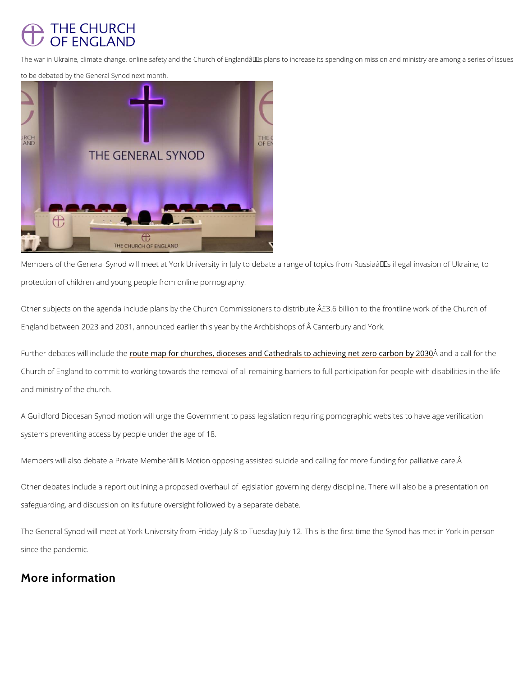## THE CHURCH **OF ENGLAND**

The war in Ukraine, climate change, online safety and the Church of Englandâ $\epsilon$ <sup>TM</sup>s plans to increase its to be debated by the General Synod next month.

Members of the General Synod will meet at York University in July to debate a range of topic protection of children and young people from online pornography.

Other subjects on the agenda include plans by the Church Commissioners to distribute  $\textcolor{red}{\hat{A}} \textcolor{black}{\hat{E}} \textcolor{black}{3.6}$ England between 2023 and 2031, announced earlier this year by the Archbishops of  $\hat{A}$  Canter

Further debates will rionuctleu dheaphéor churches, dioceses and Cathedrals to achiâvaing naectazle foorc Church of England to commit to working towards the removal of all remaining barriers to full and ministry of the church.

A Guildford Diocesan Synod motion will urge the Government to pass legislation requiring po systems preventing access by people under the age of 18.

Members will also debate a Private Member $\hat{a} \in \mathbb{T}^M$ s Motion opposing assisted suicide and callin

Other debates include a report outlining a proposed overhaul of legislation governing clergy

safeguarding, and discussion on its future oversight followed by a separate debate.

The General Synod will meet at York University from Friday July 8 to Tuesday July 12. This i

since the pandemic.

## More information